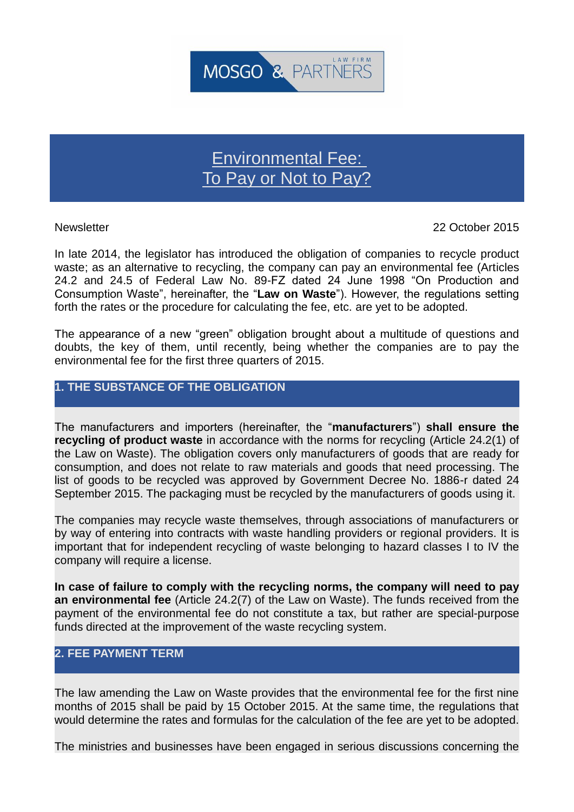

# Environmental Fee: To Pay or Not to Pay?

Newsletter 22 October 2015

In late 2014, the legislator has introduced the obligation of companies to recycle product waste; as an alternative to recycling, the company can pay an environmental fee (Articles 24.2 and 24.5 of Federal Law No. 89-FZ dated 24 June 1998 "On Production and Consumption Waste", hereinafter, the "**Law on Waste**"). However, the regulations setting forth the rates or the procedure for calculating the fee, etc. are yet to be adopted.

The appearance of a new "green" obligation brought about a multitude of questions and doubts, the key of them, until recently, being whether the companies are to pay the environmental fee for the first three quarters of 2015.

## **1. THE SUBSTANCE OF THE OBLIGATION**

The manufacturers and importers (hereinafter, the "**manufacturers**") **shall ensure the recycling of product waste** in accordance with the norms for recycling (Article 24.2(1) of the Law on Waste). The obligation covers only manufacturers of goods that are ready for consumption, and does not relate to raw materials and goods that need processing. The list of goods to be recycled was approved by Government Decree No. 1886-r dated 24 September 2015. The packaging must be recycled by the manufacturers of goods using it.

The companies may recycle waste themselves, through associations of manufacturers or by way of entering into contracts with waste handling providers or regional providers. It is important that for independent recycling of waste belonging to hazard classes I to IV the company will require a license.

**In case of failure to comply with the recycling norms, the company will need to pay an environmental fee** (Article 24.2(7) of the Law on Waste). The funds received from the payment of the environmental fee do not constitute a tax, but rather are special-purpose funds directed at the improvement of the waste recycling system.

# **2. FEE PAYMENT TERM**

The law amending the Law on Waste provides that the environmental fee for the first nine months of 2015 shall be paid by 15 October 2015. At the same time, the regulations that would determine the rates and formulas for the calculation of the fee are yet to be adopted.

The ministries and businesses have been engaged in serious discussions concerning the